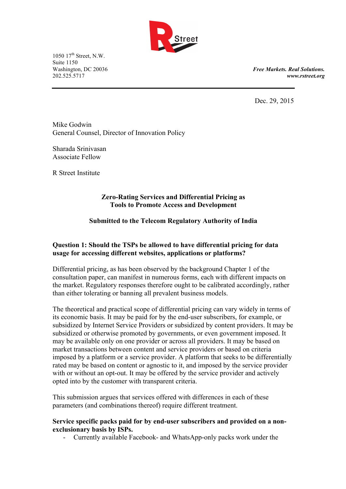

1050 17<sup>th</sup> Street, N.W. Suite 1150<br>Washington, DC 20036

Washington, DC 20036 *Free Markets. Real Solutions.* 202.525.5717 *www.rstreet.org*

Dec. 29, 2015

Mike Godwin General Counsel, Director of Innovation Policy

Sharada Srinivasan Associate Fellow

R Street Institute

#### **Zero-Rating Services and Differential Pricing as Tools to Promote Access and Development**

# **Submitted to the Telecom Regulatory Authority of India**

## **Question 1: Should the TSPs be allowed to have differential pricing for data usage for accessing different websites, applications or platforms?**

Differential pricing, as has been observed by the background Chapter 1 of the consultation paper, can manifest in numerous forms, each with different impacts on the market. Regulatory responses therefore ought to be calibrated accordingly, rather than either tolerating or banning all prevalent business models.

The theoretical and practical scope of differential pricing can vary widely in terms of its economic basis. It may be paid for by the end-user subscribers, for example, or subsidized by Internet Service Providers or subsidized by content providers. It may be subsidized or otherwise promoted by governments, or even government imposed. It may be available only on one provider or across all providers. It may be based on market transactions between content and service providers or based on criteria imposed by a platform or a service provider. A platform that seeks to be differentially rated may be based on content or agnostic to it, and imposed by the service provider with or without an opt-out. It may be offered by the service provider and actively opted into by the customer with transparent criteria.

This submission argues that services offered with differences in each of these parameters (and combinations thereof) require different treatment.

#### **Service specific packs paid for by end-user subscribers and provided on a nonexclusionary basis by ISPs.**

- Currently available Facebook- and WhatsApp-only packs work under the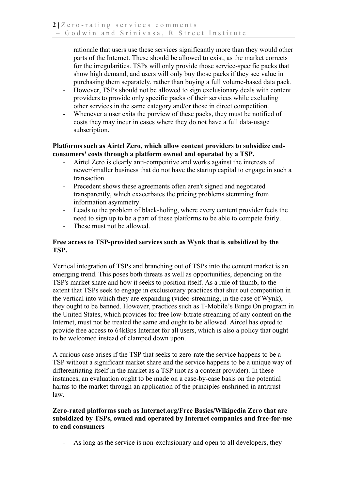rationale that users use these services significantly more than they would other parts of the Internet. These should be allowed to exist, as the market corrects for the irregularities. TSPs will only provide those service-specific packs that show high demand, and users will only buy those packs if they see value in purchasing them separately, rather than buying a full volume-based data pack.

- However, TSPs should not be allowed to sign exclusionary deals with content providers to provide only specific packs of their services while excluding other services in the same category and/or those in direct competition.
- Whenever a user exits the purview of these packs, they must be notified of costs they may incur in cases where they do not have a full data-usage subscription.

**Platforms such as Airtel Zero, which allow content providers to subsidize endconsumers' costs through a platform owned and operated by a TSP.**

- Airtel Zero is clearly anti-competitive and works against the interests of newer/smaller business that do not have the startup capital to engage in such a transaction.
- Precedent shows these agreements often aren't signed and negotiated transparently, which exacerbates the pricing problems stemming from information asymmetry.
- Leads to the problem of black-holing, where every content provider feels the need to sign up to be a part of these platforms to be able to compete fairly.
- These must not be allowed.

## **Free access to TSP-provided services such as Wynk that is subsidized by the TSP.**

Vertical integration of TSPs and branching out of TSPs into the content market is an emerging trend. This poses both threats as well as opportunities, depending on the TSP's market share and how it seeks to position itself. As a rule of thumb, to the extent that TSPs seek to engage in exclusionary practices that shut out competition in the vertical into which they are expanding (video-streaming, in the case of Wynk), they ought to be banned. However, practices such as T-Mobile's Binge On program in the United States, which provides for free low-bitrate streaming of any content on the Internet, must not be treated the same and ought to be allowed. Aircel has opted to provide free access to 64kBps Internet for all users, which is also a policy that ought to be welcomed instead of clamped down upon.

A curious case arises if the TSP that seeks to zero-rate the service happens to be a TSP without a significant market share and the service happens to be a unique way of differentiating itself in the market as a TSP (not as a content provider). In these instances, an evaluation ought to be made on a case-by-case basis on the potential harms to the market through an application of the principles enshrined in antitrust law.

## **Zero-rated platforms such as Internet.org/Free Basics/Wikipedia Zero that are subsidized by TSPs, owned and operated by Internet companies and free-for-use to end consumers**

As long as the service is non-exclusionary and open to all developers, they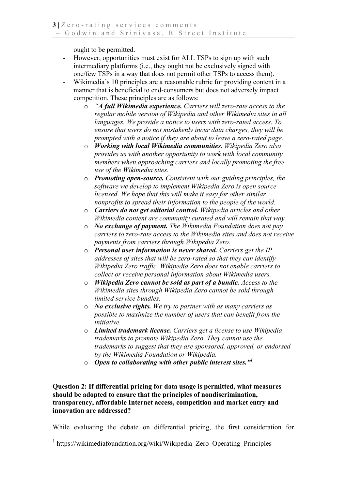ought to be permitted.

- However, opportunities must exist for ALL TSPs to sign up with such intermediary platforms (i.e., they ought not be exclusively signed with one/few TSPs in a way that does not permit other TSPs to access them).
- Wikimedia's 10 principles are a reasonable rubric for providing content in a manner that is beneficial to end-consumers but does not adversely impact competition. These principles are as follows:
	- o *"A full Wikimedia experience. Carriers will zero-rate access to the regular mobile version of Wikipedia and other Wikimedia sites in all languages. We provide a notice to users with zero-rated access. To ensure that users do not mistakenly incur data charges, they will be prompted with a notice if they are about to leave a zero-rated page.*
	- o *Working with local Wikimedia communities. Wikipedia Zero also provides us with another opportunity to work with local community members when approaching carriers and locally promoting the free use of the Wikimedia sites.*
	- o *Promoting open-source. Consistent with our guiding principles, the software we develop to implement Wikipedia Zero is open source licensed. We hope that this will make it easy for other similar nonprofits to spread their information to the people of the world.*
	- o *Carriers do not get editorial control. Wikipedia articles and other Wikimedia content are community curated and will remain that way.*
	- o *No exchange of payment. The Wikimedia Foundation does not pay carriers to zero-rate access to the Wikimedia sites and does not receive payments from carriers through Wikipedia Zero.*
	- o *Personal user information is never shared. Carriers get the IP addresses of sites that will be zero-rated so that they can identify Wikipedia Zero traffic. Wikipedia Zero does not enable carriers to collect or receive personal information about Wikimedia users.*
	- o *Wikipedia Zero cannot be sold as part of a bundle. Access to the Wikimedia sites through Wikipedia Zero cannot be sold through limited service bundles.*
	- o *No exclusive rights. We try to partner with as many carriers as possible to maximize the number of users that can benefit from the initiative.*
	- o *Limited trademark license. Carriers get a license to use Wikipedia trademarks to promote Wikipedia Zero. They cannot use the trademarks to suggest that they are sponsored, approved, or endorsed by the Wikimedia Foundation or Wikipedia.*
	- o *Open to collaborating with other public interest sites."<sup>1</sup>*

### **Question 2: If differential pricing for data usage is permitted, what measures should be adopted to ensure that the principles of nondiscrimination, transparency, affordable Internet access, competition and market entry and innovation are addressed?**

While evaluating the debate on differential pricing, the first consideration for

 <sup>1</sup> https://wikimediafoundation.org/wiki/Wikipedia\_Zero\_Operating\_Principles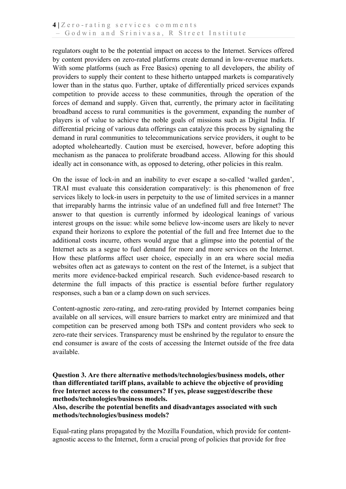regulators ought to be the potential impact on access to the Internet. Services offered by content providers on zero-rated platforms create demand in low-revenue markets. With some platforms (such as Free Basics) opening to all developers, the ability of providers to supply their content to these hitherto untapped markets is comparatively lower than in the status quo. Further, uptake of differentially priced services expands competition to provide access to these communities, through the operation of the forces of demand and supply. Given that, currently, the primary actor in facilitating broadband access to rural communities is the government, expanding the number of players is of value to achieve the noble goals of missions such as Digital India. If differential pricing of various data offerings can catalyze this process by signaling the demand in rural communities to telecommunications service providers, it ought to be adopted wholeheartedly. Caution must be exercised, however, before adopting this mechanism as the panacea to proliferate broadband access. Allowing for this should ideally act in consonance with, as opposed to detering, other policies in this realm.

On the issue of lock-in and an inability to ever escape a so-called 'walled garden', TRAI must evaluate this consideration comparatively: is this phenomenon of free services likely to lock-in users in perpetuity to the use of limited services in a manner that irreparably harms the intrinsic value of an undefined full and free Internet? The answer to that question is currently informed by ideological leanings of various interest groups on the issue: while some believe low-income users are likely to never expand their horizons to explore the potential of the full and free Internet due to the additional costs incurre, others would argue that a glimpse into the potential of the Internet acts as a segue to fuel demand for more and more services on the Internet. How these platforms affect user choice, especially in an era where social media websites often act as gateways to content on the rest of the Internet, is a subject that merits more evidence-backed empirical research. Such evidence-based research to determine the full impacts of this practice is essential before further regulatory responses, such a ban or a clamp down on such services.

Content-agnostic zero-rating, and zero-rating provided by Internet companies being available on all services, will ensure barriers to market entry are minimized and that competition can be preserved among both TSPs and content providers who seek to zero-rate their services. Transparency must be enshrined by the regulator to ensure the end consumer is aware of the costs of accessing the Internet outside of the free data available.

### **Question 3. Are there alternative methods/technologies/business models, other than differentiated tariff plans, available to achieve the objective of providing free Internet access to the consumers? If yes, please suggest/describe these methods/technologies/business models.**

**Also, describe the potential benefits and disadvantages associated with such methods/technologies/business models?**

Equal-rating plans propagated by the Mozilla Foundation, which provide for contentagnostic access to the Internet, form a crucial prong of policies that provide for free